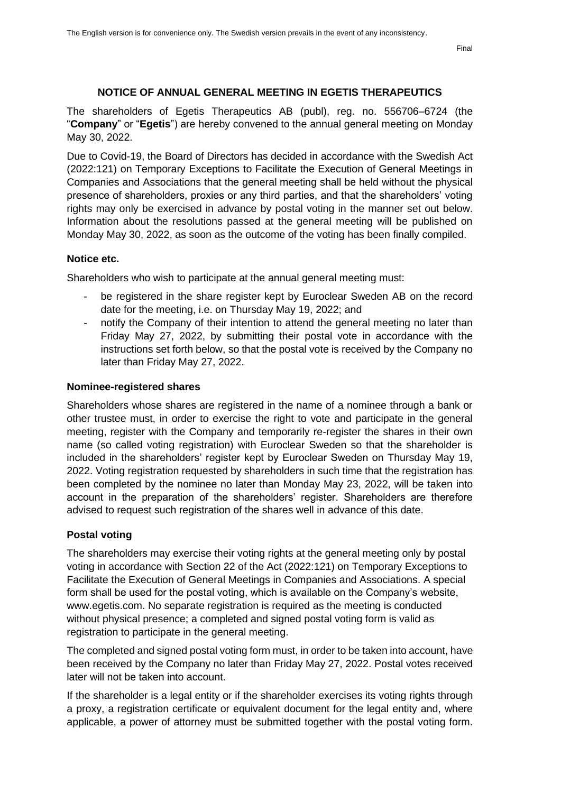#### **NOTICE OF ANNUAL GENERAL MEETING IN EGETIS THERAPEUTICS**

The shareholders of Egetis Therapeutics AB (publ), reg. no. 556706–6724 (the "**Company**" or "**Egetis**") are hereby convened to the annual general meeting on Monday May 30, 2022.

Due to Covid-19, the Board of Directors has decided in accordance with the Swedish Act (2022:121) on Temporary Exceptions to Facilitate the Execution of General Meetings in Companies and Associations that the general meeting shall be held without the physical presence of shareholders, proxies or any third parties, and that the shareholders' voting rights may only be exercised in advance by postal voting in the manner set out below. Information about the resolutions passed at the general meeting will be published on Monday May 30, 2022, as soon as the outcome of the voting has been finally compiled.

#### **Notice etc.**

Shareholders who wish to participate at the annual general meeting must:

- be registered in the share register kept by Euroclear Sweden AB on the record date for the meeting, i.e. on Thursday May 19, 2022; and
- notify the Company of their intention to attend the general meeting no later than Friday May 27, 2022, by submitting their postal vote in accordance with the instructions set forth below, so that the postal vote is received by the Company no later than Friday May 27, 2022.

#### **Nominee-registered shares**

Shareholders whose shares are registered in the name of a nominee through a bank or other trustee must, in order to exercise the right to vote and participate in the general meeting, register with the Company and temporarily re-register the shares in their own name (so called voting registration) with Euroclear Sweden so that the shareholder is included in the shareholders' register kept by Euroclear Sweden on Thursday May 19, 2022. Voting registration requested by shareholders in such time that the registration has been completed by the nominee no later than Monday May 23, 2022, will be taken into account in the preparation of the shareholders' register. Shareholders are therefore advised to request such registration of the shares well in advance of this date.

#### **Postal voting**

The shareholders may exercise their voting rights at the general meeting only by postal voting in accordance with Section 22 of the Act (2022:121) on Temporary Exceptions to Facilitate the Execution of General Meetings in Companies and Associations. A special form shall be used for the postal voting, which is available on the Company's website, www.egetis.com. No separate registration is required as the meeting is conducted without physical presence; a completed and signed postal voting form is valid as registration to participate in the general meeting.

The completed and signed postal voting form must, in order to be taken into account, have been received by the Company no later than Friday May 27, 2022. Postal votes received later will not be taken into account.

If the shareholder is a legal entity or if the shareholder exercises its voting rights through a proxy, a registration certificate or equivalent document for the legal entity and, where applicable, a power of attorney must be submitted together with the postal voting form.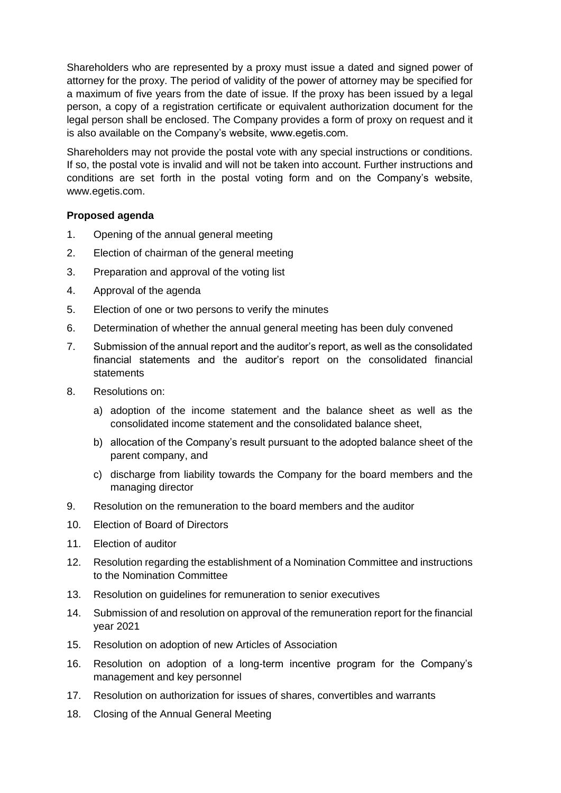Shareholders who are represented by a proxy must issue a dated and signed power of attorney for the proxy. The period of validity of the power of attorney may be specified for a maximum of five years from the date of issue. If the proxy has been issued by a legal person, a copy of a registration certificate or equivalent authorization document for the legal person shall be enclosed. The Company provides a form of proxy on request and it is also available on the Company's website, www.egetis.com.

Shareholders may not provide the postal vote with any special instructions or conditions. If so, the postal vote is invalid and will not be taken into account. Further instructions and conditions are set forth in the postal voting form and on the Company's website, www.egetis.com.

# **Proposed agenda**

- 1. Opening of the annual general meeting
- <span id="page-1-0"></span>2. Election of chairman of the general meeting
- <span id="page-1-1"></span>3. Preparation and approval of the voting list
- 4. Approval of the agenda
- <span id="page-1-2"></span>5. Election of one or two persons to verify the minutes
- 6. Determination of whether the annual general meeting has been duly convened
- 7. Submission of the annual report and the auditor's report, as well as the consolidated financial statements and the auditor's report on the consolidated financial statements
- <span id="page-1-4"></span><span id="page-1-3"></span>8. Resolutions on:
	- a) adoption of the income statement and the balance sheet as well as the consolidated income statement and the consolidated balance sheet,
	- b) allocation of the Company's result pursuant to the adopted balance sheet of the parent company, and
	- c) discharge from liability towards the Company for the board members and the managing director
- <span id="page-1-5"></span>9. Resolution on the remuneration to the board members and the auditor
- <span id="page-1-6"></span>10. Election of Board of Directors
- <span id="page-1-7"></span>11. Election of auditor
- <span id="page-1-8"></span>12. Resolution regarding the establishment of a Nomination Committee and instructions to the Nomination Committee
- <span id="page-1-9"></span>13. Resolution on guidelines for remuneration to senior executives
- 14. Submission of and resolution on approval of the remuneration report for the financial year 2021
- <span id="page-1-10"></span>15. Resolution on adoption of new Articles of Association
- <span id="page-1-11"></span>16. Resolution on adoption of a long-term incentive program for the Company's management and key personnel
- <span id="page-1-12"></span>17. Resolution on authorization for issues of shares, convertibles and warrants
- 18. Closing of the Annual General Meeting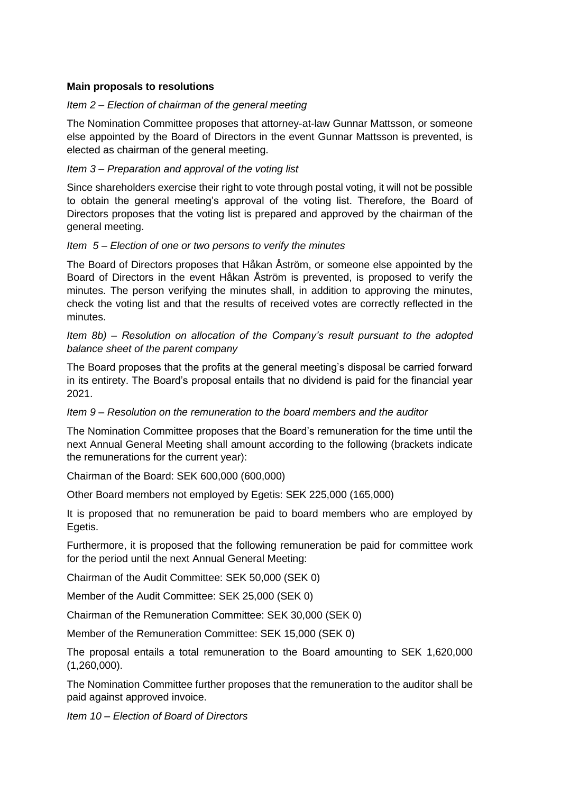# **Main proposals to resolutions**

# *Item [2](#page-1-0) – Election of chairman of the general meeting*

The Nomination Committee proposes that attorney-at-law Gunnar Mattsson, or someone else appointed by the Board of Directors in the event Gunnar Mattsson is prevented, is elected as chairman of the general meeting.

# *Item [3](#page-1-1) – Preparation and approval of the voting list*

Since shareholders exercise their right to vote through postal voting, it will not be possible to obtain the general meeting's approval of the voting list. Therefore, the Board of Directors proposes that the voting list is prepared and approved by the chairman of the general meeting.

# *Item [5](#page-1-2) – Election of one or two persons to verify the minutes*

The Board of Directors proposes that Håkan Åström, or someone else appointed by the Board of Directors in the event Håkan Åström is prevented, is proposed to verify the minutes. The person verifying the minutes shall, in addition to approving the minutes, check the voting list and that the results of received votes are correctly reflected in the minutes.

# *Item [8](#page-1-3)[b\)](#page-1-4) – Resolution on allocation of the Company's result pursuant to the adopted balance sheet of the parent company*

The Board proposes that the profits at the general meeting's disposal be carried forward in its entirety. The Board's proposal entails that no dividend is paid for the financial year 2021.

# *Item [9](#page-1-5) – Resolution on the remuneration to the board members and the auditor*

The Nomination Committee proposes that the Board's remuneration for the time until the next Annual General Meeting shall amount according to the following (brackets indicate the remunerations for the current year):

Chairman of the Board: SEK 600,000 (600,000)

Other Board members not employed by Egetis: SEK 225,000 (165,000)

It is proposed that no remuneration be paid to board members who are employed by Egetis.

Furthermore, it is proposed that the following remuneration be paid for committee work for the period until the next Annual General Meeting:

Chairman of the Audit Committee: SEK 50,000 (SEK 0)

Member of the Audit Committee: SEK 25,000 (SEK 0)

Chairman of the Remuneration Committee: SEK 30,000 (SEK 0)

Member of the Remuneration Committee: SEK 15,000 (SEK 0)

The proposal entails a total remuneration to the Board amounting to SEK 1,620,000 (1,260,000).

The Nomination Committee further proposes that the remuneration to the auditor shall be paid against approved invoice.

*Item [10](#page-1-6) – Election of Board of Directors*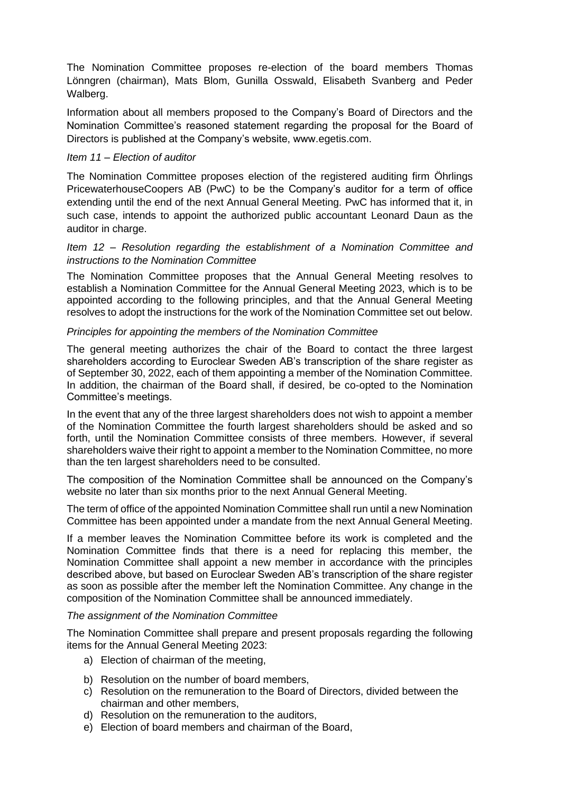The Nomination Committee proposes re-election of the board members Thomas Lönngren (chairman), Mats Blom, Gunilla Osswald, Elisabeth Svanberg and Peder Walberg.

Information about all members proposed to the Company's Board of Directors and the Nomination Committee's reasoned statement regarding the proposal for the Board of Directors is published at the Company's website, www.egetis.com.

### *Item [11](#page-1-7) – Election of auditor*

The Nomination Committee proposes election of the registered auditing firm Öhrlings PricewaterhouseCoopers AB (PwC) to be the Company's auditor for a term of office extending until the end of the next Annual General Meeting. PwC has informed that it, in such case, intends to appoint the authorized public accountant Leonard Daun as the auditor in charge.

### *Item [12](#page-1-8) – Resolution regarding the establishment of a Nomination Committee and instructions to the Nomination Committee*

The Nomination Committee proposes that the Annual General Meeting resolves to establish a Nomination Committee for the Annual General Meeting 2023, which is to be appointed according to the following principles, and that the Annual General Meeting resolves to adopt the instructions for the work of the Nomination Committee set out below.

### *Principles for appointing the members of the Nomination Committee*

The general meeting authorizes the chair of the Board to contact the three largest shareholders according to Euroclear Sweden AB's transcription of the share register as of September 30, 2022, each of them appointing a member of the Nomination Committee. In addition, the chairman of the Board shall, if desired, be co-opted to the Nomination Committee's meetings.

In the event that any of the three largest shareholders does not wish to appoint a member of the Nomination Committee the fourth largest shareholders should be asked and so forth, until the Nomination Committee consists of three members. However, if several shareholders waive their right to appoint a member to the Nomination Committee, no more than the ten largest shareholders need to be consulted.

The composition of the Nomination Committee shall be announced on the Company's website no later than six months prior to the next Annual General Meeting.

The term of office of the appointed Nomination Committee shall run until a new Nomination Committee has been appointed under a mandate from the next Annual General Meeting.

If a member leaves the Nomination Committee before its work is completed and the Nomination Committee finds that there is a need for replacing this member, the Nomination Committee shall appoint a new member in accordance with the principles described above, but based on Euroclear Sweden AB's transcription of the share register as soon as possible after the member left the Nomination Committee. Any change in the composition of the Nomination Committee shall be announced immediately.

#### *The assignment of the Nomination Committee*

The Nomination Committee shall prepare and present proposals regarding the following items for the Annual General Meeting 2023:

- a) Election of chairman of the meeting,
- b) Resolution on the number of board members,
- c) Resolution on the remuneration to the Board of Directors, divided between the chairman and other members,
- d) Resolution on the remuneration to the auditors,
- e) Election of board members and chairman of the Board,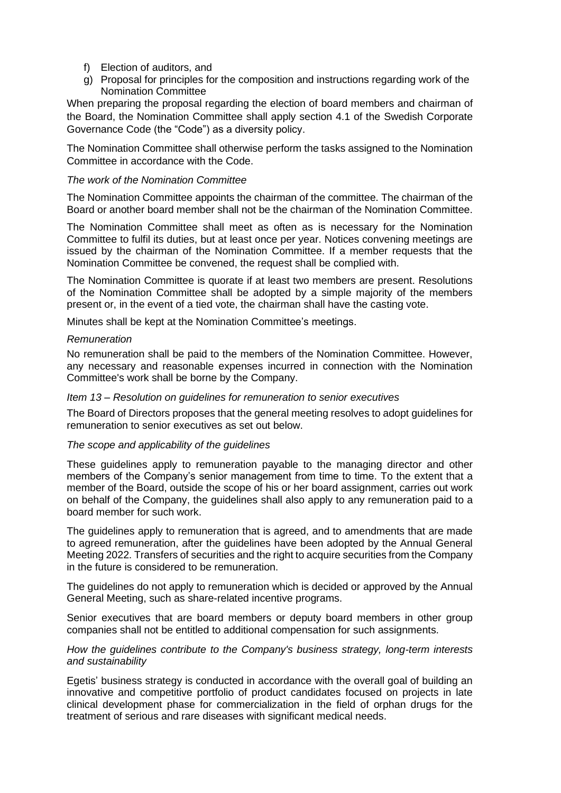- f) Election of auditors, and
- g) Proposal for principles for the composition and instructions regarding work of the Nomination Committee

When preparing the proposal regarding the election of board members and chairman of the Board, the Nomination Committee shall apply section 4.1 of the Swedish Corporate Governance Code (the "Code") as a diversity policy.

The Nomination Committee shall otherwise perform the tasks assigned to the Nomination Committee in accordance with the Code.

#### *The work of the Nomination Committee*

The Nomination Committee appoints the chairman of the committee. The chairman of the Board or another board member shall not be the chairman of the Nomination Committee.

The Nomination Committee shall meet as often as is necessary for the Nomination Committee to fulfil its duties, but at least once per year. Notices convening meetings are issued by the chairman of the Nomination Committee. If a member requests that the Nomination Committee be convened, the request shall be complied with.

The Nomination Committee is quorate if at least two members are present. Resolutions of the Nomination Committee shall be adopted by a simple majority of the members present or, in the event of a tied vote, the chairman shall have the casting vote.

Minutes shall be kept at the Nomination Committee's meetings.

### *Remuneration*

No remuneration shall be paid to the members of the Nomination Committee. However, any necessary and reasonable expenses incurred in connection with the Nomination Committee's work shall be borne by the Company.

#### *Item [13](#page-1-9) – Resolution on guidelines for remuneration to senior executives*

The Board of Directors proposes that the general meeting resolves to adopt guidelines for remuneration to senior executives as set out below.

#### *The scope and applicability of the guidelines*

These guidelines apply to remuneration payable to the managing director and other members of the Company's senior management from time to time. To the extent that a member of the Board, outside the scope of his or her board assignment, carries out work on behalf of the Company, the guidelines shall also apply to any remuneration paid to a board member for such work.

The guidelines apply to remuneration that is agreed, and to amendments that are made to agreed remuneration, after the guidelines have been adopted by the Annual General Meeting 2022. Transfers of securities and the right to acquire securities from the Company in the future is considered to be remuneration.

The guidelines do not apply to remuneration which is decided or approved by the Annual General Meeting, such as share-related incentive programs.

Senior executives that are board members or deputy board members in other group companies shall not be entitled to additional compensation for such assignments.

### *How the guidelines contribute to the Company's business strategy, long-term interests and sustainability*

Egetis' business strategy is conducted in accordance with the overall goal of building an innovative and competitive portfolio of product candidates focused on projects in late clinical development phase for commercialization in the field of orphan drugs for the treatment of serious and rare diseases with significant medical needs.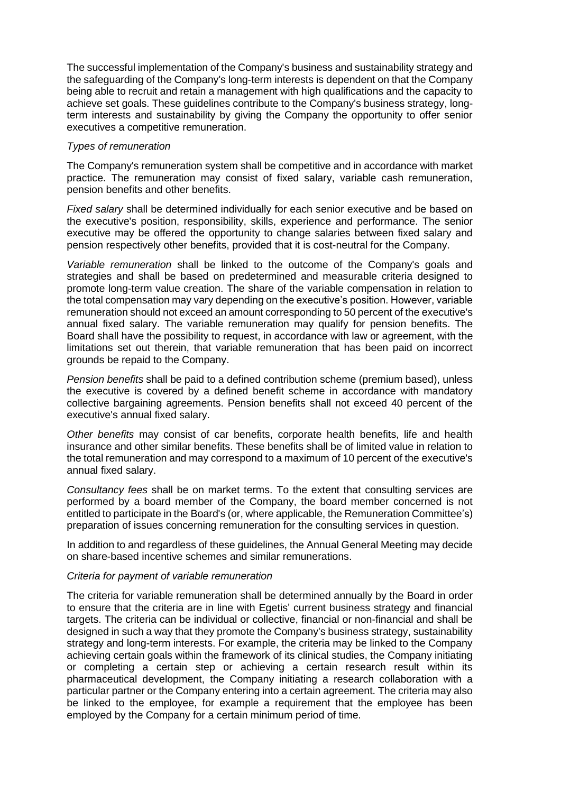The successful implementation of the Company's business and sustainability strategy and the safeguarding of the Company's long-term interests is dependent on that the Company being able to recruit and retain a management with high qualifications and the capacity to achieve set goals. These guidelines contribute to the Company's business strategy, longterm interests and sustainability by giving the Company the opportunity to offer senior executives a competitive remuneration.

### *Types of remuneration*

The Company's remuneration system shall be competitive and in accordance with market practice. The remuneration may consist of fixed salary, variable cash remuneration, pension benefits and other benefits.

*Fixed salary* shall be determined individually for each senior executive and be based on the executive's position, responsibility, skills, experience and performance. The senior executive may be offered the opportunity to change salaries between fixed salary and pension respectively other benefits, provided that it is cost-neutral for the Company.

*Variable remuneration* shall be linked to the outcome of the Company's goals and strategies and shall be based on predetermined and measurable criteria designed to promote long-term value creation. The share of the variable compensation in relation to the total compensation may vary depending on the executive's position. However, variable remuneration should not exceed an amount corresponding to 50 percent of the executive's annual fixed salary. The variable remuneration may qualify for pension benefits. The Board shall have the possibility to request, in accordance with law or agreement, with the limitations set out therein, that variable remuneration that has been paid on incorrect grounds be repaid to the Company.

*Pension benefits* shall be paid to a defined contribution scheme (premium based), unless the executive is covered by a defined benefit scheme in accordance with mandatory collective bargaining agreements. Pension benefits shall not exceed 40 percent of the executive's annual fixed salary.

*Other benefits* may consist of car benefits, corporate health benefits, life and health insurance and other similar benefits. These benefits shall be of limited value in relation to the total remuneration and may correspond to a maximum of 10 percent of the executive's annual fixed salary.

*Consultancy fees* shall be on market terms. To the extent that consulting services are performed by a board member of the Company, the board member concerned is not entitled to participate in the Board's (or, where applicable, the Remuneration Committee's) preparation of issues concerning remuneration for the consulting services in question.

In addition to and regardless of these guidelines, the Annual General Meeting may decide on share-based incentive schemes and similar remunerations.

#### *Criteria for payment of variable remuneration*

The criteria for variable remuneration shall be determined annually by the Board in order to ensure that the criteria are in line with Egetis' current business strategy and financial targets. The criteria can be individual or collective, financial or non-financial and shall be designed in such a way that they promote the Company's business strategy, sustainability strategy and long-term interests. For example, the criteria may be linked to the Company achieving certain goals within the framework of its clinical studies, the Company initiating or completing a certain step or achieving a certain research result within its pharmaceutical development, the Company initiating a research collaboration with a particular partner or the Company entering into a certain agreement. The criteria may also be linked to the employee, for example a requirement that the employee has been employed by the Company for a certain minimum period of time.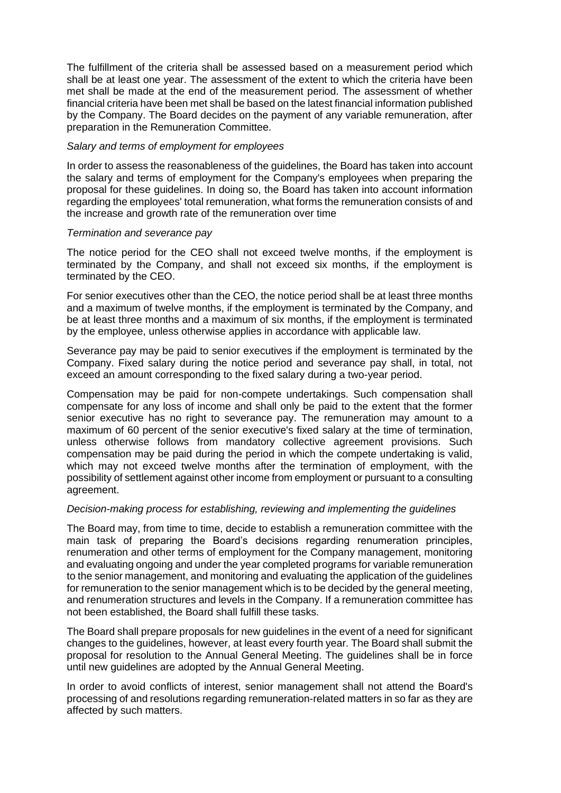The fulfillment of the criteria shall be assessed based on a measurement period which shall be at least one year. The assessment of the extent to which the criteria have been met shall be made at the end of the measurement period. The assessment of whether financial criteria have been met shall be based on the latest financial information published by the Company. The Board decides on the payment of any variable remuneration, after preparation in the Remuneration Committee.

### *Salary and terms of employment for employees*

In order to assess the reasonableness of the guidelines, the Board has taken into account the salary and terms of employment for the Company's employees when preparing the proposal for these guidelines. In doing so, the Board has taken into account information regarding the employees' total remuneration, what forms the remuneration consists of and the increase and growth rate of the remuneration over time

### *Termination and severance pay*

The notice period for the CEO shall not exceed twelve months, if the employment is terminated by the Company, and shall not exceed six months, if the employment is terminated by the CEO.

For senior executives other than the CEO, the notice period shall be at least three months and a maximum of twelve months, if the employment is terminated by the Company, and be at least three months and a maximum of six months, if the employment is terminated by the employee, unless otherwise applies in accordance with applicable law.

Severance pay may be paid to senior executives if the employment is terminated by the Company. Fixed salary during the notice period and severance pay shall, in total, not exceed an amount corresponding to the fixed salary during a two-year period.

Compensation may be paid for non-compete undertakings. Such compensation shall compensate for any loss of income and shall only be paid to the extent that the former senior executive has no right to severance pay. The remuneration may amount to a maximum of 60 percent of the senior executive's fixed salary at the time of termination, unless otherwise follows from mandatory collective agreement provisions. Such compensation may be paid during the period in which the compete undertaking is valid, which may not exceed twelve months after the termination of employment, with the possibility of settlement against other income from employment or pursuant to a consulting agreement.

#### *Decision-making process for establishing, reviewing and implementing the guidelines*

The Board may, from time to time, decide to establish a remuneration committee with the main task of preparing the Board's decisions regarding renumeration principles, renumeration and other terms of employment for the Company management, monitoring and evaluating ongoing and under the year completed programs for variable remuneration to the senior management, and monitoring and evaluating the application of the guidelines for remuneration to the senior management which is to be decided by the general meeting, and renumeration structures and levels in the Company. If a remuneration committee has not been established, the Board shall fulfill these tasks.

The Board shall prepare proposals for new guidelines in the event of a need for significant changes to the guidelines, however, at least every fourth year. The Board shall submit the proposal for resolution to the Annual General Meeting. The guidelines shall be in force until new guidelines are adopted by the Annual General Meeting.

In order to avoid conflicts of interest, senior management shall not attend the Board's processing of and resolutions regarding remuneration-related matters in so far as they are affected by such matters.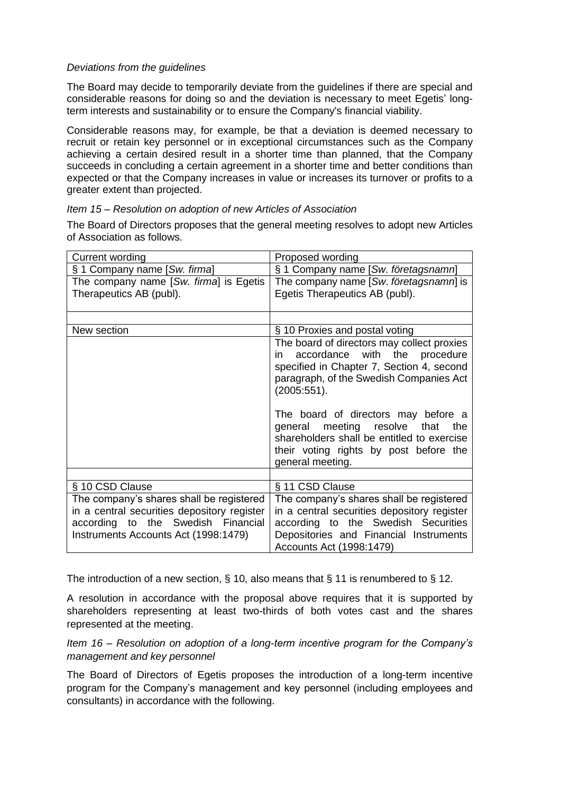# *Deviations from the guidelines*

The Board may decide to temporarily deviate from the guidelines if there are special and considerable reasons for doing so and the deviation is necessary to meet Egetis' longterm interests and sustainability or to ensure the Company's financial viability.

Considerable reasons may, for example, be that a deviation is deemed necessary to recruit or retain key personnel or in exceptional circumstances such as the Company achieving a certain desired result in a shorter time than planned, that the Company succeeds in concluding a certain agreement in a shorter time and better conditions than expected or that the Company increases in value or increases its turnover or profits to a greater extent than projected.

# *Item [15](#page-1-10) – Resolution on adoption of new Articles of Association*

The Board of Directors proposes that the general meeting resolves to adopt new Articles of Association as follows.

| Current wording                             | Proposed wording                                                                                                                                                                          |
|---------------------------------------------|-------------------------------------------------------------------------------------------------------------------------------------------------------------------------------------------|
| § 1 Company name [Sw. firma]                | § 1 Company name [Sw. företagsnamn]                                                                                                                                                       |
| The company name [Sw. firma] is Egetis      | The company name [Sw. företagsnamn] is                                                                                                                                                    |
| Therapeutics AB (publ).                     | Egetis Therapeutics AB (publ).                                                                                                                                                            |
|                                             |                                                                                                                                                                                           |
| New section                                 | § 10 Proxies and postal voting                                                                                                                                                            |
|                                             | The board of directors may collect proxies<br>accordance with the procedure<br>in.<br>specified in Chapter 7, Section 4, second<br>paragraph, of the Swedish Companies Act<br>(2005:551). |
|                                             | The board of directors may before a<br>general meeting resolve<br>that<br>the<br>shareholders shall be entitled to exercise<br>their voting rights by post before the<br>general meeting. |
|                                             |                                                                                                                                                                                           |
| § 10 CSD Clause                             | § 11 CSD Clause                                                                                                                                                                           |
| The company's shares shall be registered    | The company's shares shall be registered                                                                                                                                                  |
| in a central securities depository register | in a central securities depository register                                                                                                                                               |
| according to the Swedish Financial          | according to the Swedish Securities                                                                                                                                                       |
| Instruments Accounts Act (1998:1479)        | Depositories and Financial Instruments<br>Accounts Act (1998:1479)                                                                                                                        |

The introduction of a new section,  $\S$  10, also means that  $\S$  11 is renumbered to  $\S$  12.

A resolution in accordance with the proposal above requires that it is supported by shareholders representing at least two-thirds of both votes cast and the shares represented at the meeting.

*Item [16](#page-1-11) – Resolution on adoption of a long-term incentive program for the Company's management and key personnel*

The Board of Directors of Egetis proposes the introduction of a long-term incentive program for the Company's management and key personnel (including employees and consultants) in accordance with the following.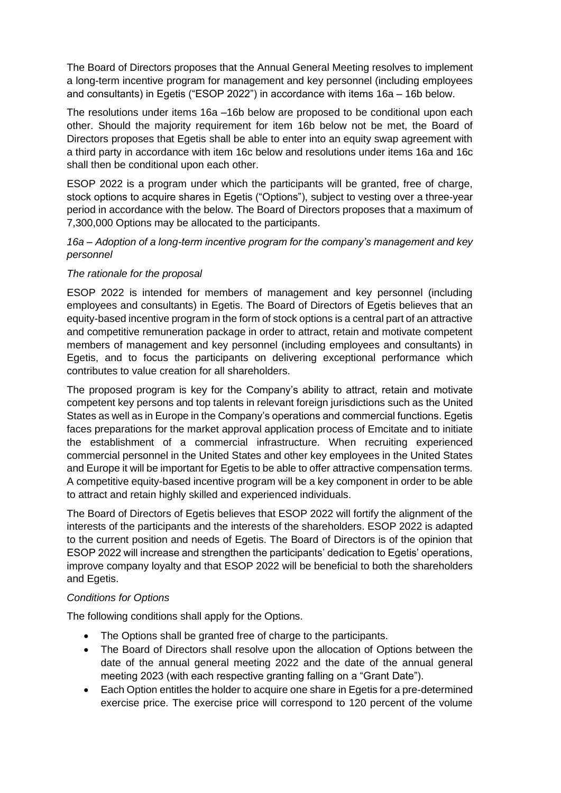The Board of Directors proposes that the Annual General Meeting resolves to implement a long-term incentive program for management and key personnel (including employees and consultants) in Egetis ("ESOP 2022") in accordance with items [16a](#page-1-11) – [16b](#page-1-11) below.

The resolutions under items 16a –16b below are proposed to be conditional upon each other. Should the majority requirement for item 16b below not be met, the Board of Directors proposes that Egetis shall be able to enter into an equity swap agreement with a third party in accordance with item 16c below and resolutions under items 16a and 16c shall then be conditional upon each other.

ESOP 2022 is a program under which the participants will be granted, free of charge, stock options to acquire shares in Egetis ("Options"), subject to vesting over a three-year period in accordance with the below. The Board of Directors proposes that a maximum of 7,300,000 Options may be allocated to the participants.

# *16a – Adoption of a long-term incentive program for the company's management and key personnel*

# *The rationale for the proposal*

ESOP 2022 is intended for members of management and key personnel (including employees and consultants) in Egetis. The Board of Directors of Egetis believes that an equity-based incentive program in the form of stock options is a central part of an attractive and competitive remuneration package in order to attract, retain and motivate competent members of management and key personnel (including employees and consultants) in Egetis, and to focus the participants on delivering exceptional performance which contributes to value creation for all shareholders.

The proposed program is key for the Company's ability to attract, retain and motivate competent key persons and top talents in relevant foreign jurisdictions such as the United States as well as in Europe in the Company's operations and commercial functions. Egetis faces preparations for the market approval application process of Emcitate and to initiate the establishment of a commercial infrastructure. When recruiting experienced commercial personnel in the United States and other key employees in the United States and Europe it will be important for Egetis to be able to offer attractive compensation terms. A competitive equity-based incentive program will be a key component in order to be able to attract and retain highly skilled and experienced individuals.

The Board of Directors of Egetis believes that ESOP 2022 will fortify the alignment of the interests of the participants and the interests of the shareholders. ESOP 2022 is adapted to the current position and needs of Egetis. The Board of Directors is of the opinion that ESOP 2022 will increase and strengthen the participants' dedication to Egetis' operations, improve company loyalty and that ESOP 2022 will be beneficial to both the shareholders and Egetis.

# *Conditions for Options*

The following conditions shall apply for the Options.

- The Options shall be granted free of charge to the participants.
- The Board of Directors shall resolve upon the allocation of Options between the date of the annual general meeting 2022 and the date of the annual general meeting 2023 (with each respective granting falling on a "Grant Date").
- Each Option entitles the holder to acquire one share in Egetis for a pre-determined exercise price. The exercise price will correspond to 120 percent of the volume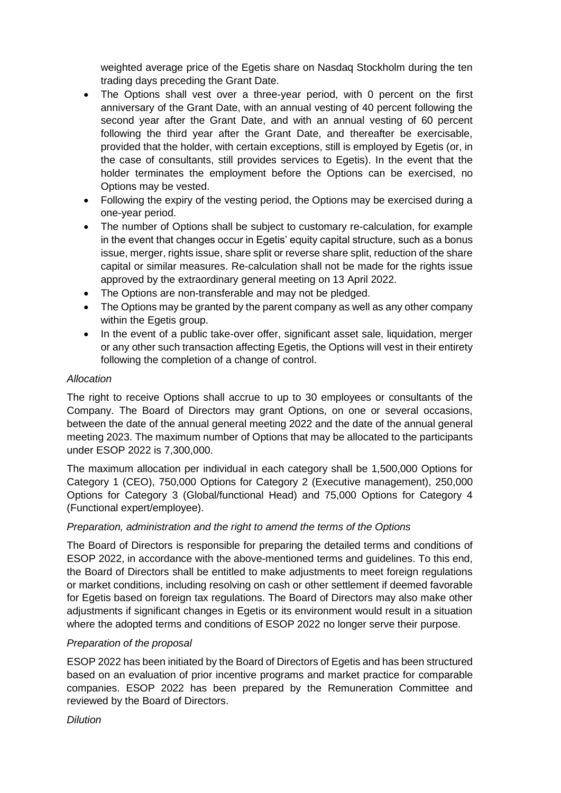weighted average price of the Egetis share on Nasdaq Stockholm during the ten trading days preceding the Grant Date.

- The Options shall vest over a three-year period, with 0 percent on the first anniversary of the Grant Date, with an annual vesting of 40 percent following the second year after the Grant Date, and with an annual vesting of 60 percent following the third year after the Grant Date, and thereafter be exercisable, provided that the holder, with certain exceptions, still is employed by Egetis (or, in the case of consultants, still provides services to Egetis). In the event that the holder terminates the employment before the Options can be exercised, no Options may be vested.
- Following the expiry of the vesting period, the Options may be exercised during a one-year period.
- The number of Options shall be subject to customary re-calculation, for example in the event that changes occur in Egetis' equity capital structure, such as a bonus issue, merger, rights issue, share split or reverse share split, reduction of the share capital or similar measures. Re-calculation shall not be made for the rights issue approved by the extraordinary general meeting on 13 April 2022.
- The Options are non-transferable and may not be pledged.
- The Options may be granted by the parent company as well as any other company within the Egetis group.
- In the event of a public take-over offer, significant asset sale, liquidation, merger or any other such transaction affecting Egetis, the Options will vest in their entirety following the completion of a change of control.

# *Allocation*

The right to receive Options shall accrue to up to 30 employees or consultants of the Company. The Board of Directors may grant Options, on one or several occasions, between the date of the annual general meeting 2022 and the date of the annual general meeting 2023. The maximum number of Options that may be allocated to the participants under ESOP 2022 is 7,300,000.

The maximum allocation per individual in each category shall be 1,500,000 Options for Category 1 (CEO), 750,000 Options for Category 2 (Executive management), 250,000 Options for Category 3 (Global/functional Head) and 75,000 Options for Category 4 (Functional expert/employee).

# *Preparation, administration and the right to amend the terms of the Options*

The Board of Directors is responsible for preparing the detailed terms and conditions of ESOP 2022, in accordance with the above-mentioned terms and guidelines. To this end, the Board of Directors shall be entitled to make adjustments to meet foreign regulations or market conditions, including resolving on cash or other settlement if deemed favorable for Egetis based on foreign tax regulations. The Board of Directors may also make other adjustments if significant changes in Egetis or its environment would result in a situation where the adopted terms and conditions of ESOP 2022 no longer serve their purpose.

# *Preparation of the proposal*

ESOP 2022 has been initiated by the Board of Directors of Egetis and has been structured based on an evaluation of prior incentive programs and market practice for comparable companies. ESOP 2022 has been prepared by the Remuneration Committee and reviewed by the Board of Directors.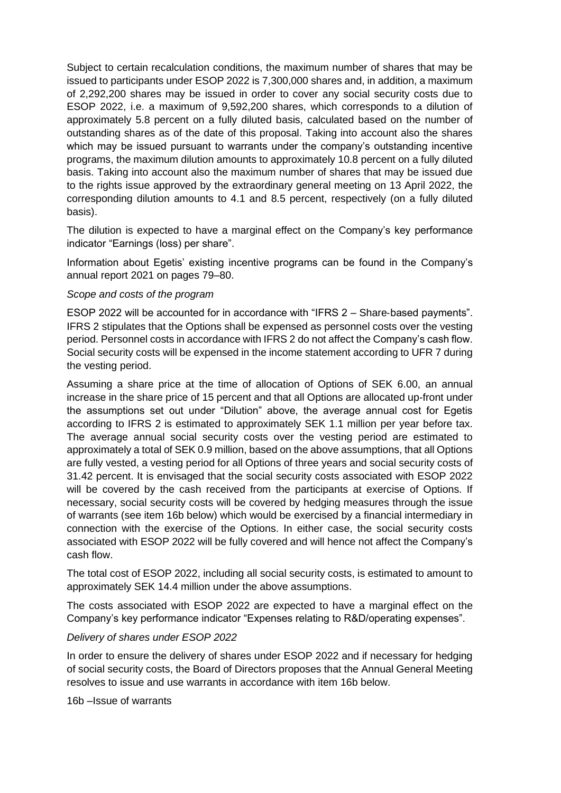Subject to certain recalculation conditions, the maximum number of shares that may be issued to participants under ESOP 2022 is 7,300,000 shares and, in addition, a maximum of 2,292,200 shares may be issued in order to cover any social security costs due to ESOP 2022, i.e. a maximum of 9,592,200 shares, which corresponds to a dilution of approximately 5.8 percent on a fully diluted basis, calculated based on the number of outstanding shares as of the date of this proposal. Taking into account also the shares which may be issued pursuant to warrants under the company's outstanding incentive programs, the maximum dilution amounts to approximately 10.8 percent on a fully diluted basis. Taking into account also the maximum number of shares that may be issued due to the rights issue approved by the extraordinary general meeting on 13 April 2022, the corresponding dilution amounts to 4.1 and 8.5 percent, respectively (on a fully diluted basis).

The dilution is expected to have a marginal effect on the Company's key performance indicator "Earnings (loss) per share".

Information about Egetis' existing incentive programs can be found in the Company's annual report 2021 on pages 79–80.

### *Scope and costs of the program*

ESOP 2022 will be accounted for in accordance with "IFRS 2 – Share‐based payments". IFRS 2 stipulates that the Options shall be expensed as personnel costs over the vesting period. Personnel costs in accordance with IFRS 2 do not affect the Company's cash flow. Social security costs will be expensed in the income statement according to UFR 7 during the vesting period.

Assuming a share price at the time of allocation of Options of SEK 6.00, an annual increase in the share price of 15 percent and that all Options are allocated up-front under the assumptions set out under "Dilution" above, the average annual cost for Egetis according to IFRS 2 is estimated to approximately SEK 1.1 million per year before tax. The average annual social security costs over the vesting period are estimated to approximately a total of SEK 0.9 million, based on the above assumptions, that all Options are fully vested, a vesting period for all Options of three years and social security costs of 31.42 percent. It is envisaged that the social security costs associated with ESOP 2022 will be covered by the cash received from the participants at exercise of Options. If necessary, social security costs will be covered by hedging measures through the issue of warrants (see item 16b below) which would be exercised by a financial intermediary in connection with the exercise of the Options. In either case, the social security costs associated with ESOP 2022 will be fully covered and will hence not affect the Company's cash flow.

The total cost of ESOP 2022, including all social security costs, is estimated to amount to approximately SEK 14.4 million under the above assumptions.

The costs associated with ESOP 2022 are expected to have a marginal effect on the Company's key performance indicator "Expenses relating to R&D/operating expenses".

#### *Delivery of shares under ESOP 2022*

In order to ensure the delivery of shares under ESOP 2022 and if necessary for hedging of social security costs, the Board of Directors proposes that the Annual General Meeting resolves to issue and use warrants in accordance with item 16b below.

16b –Issue of warrants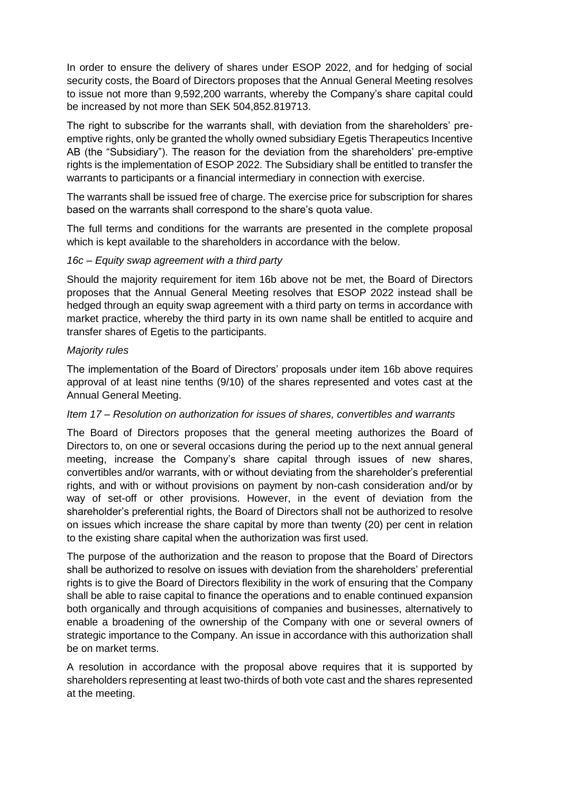In order to ensure the delivery of shares under ESOP 2022, and for hedging of social security costs, the Board of Directors proposes that the Annual General Meeting resolves to issue not more than 9,592,200 warrants, whereby the Company's share capital could be increased by not more than SEK 504,852.819713.

The right to subscribe for the warrants shall, with deviation from the shareholders' preemptive rights, only be granted the wholly owned subsidiary Egetis Therapeutics Incentive AB (the "Subsidiary"). The reason for the deviation from the shareholders' pre-emptive rights is the implementation of ESOP 2022. The Subsidiary shall be entitled to transfer the warrants to participants or a financial intermediary in connection with exercise.

The warrants shall be issued free of charge. The exercise price for subscription for shares based on the warrants shall correspond to the share's quota value.

The full terms and conditions for the warrants are presented in the complete proposal which is kept available to the shareholders in accordance with the below.

### *16c – Equity swap agreement with a third party*

Should the majority requirement for item 16b above not be met, the Board of Directors proposes that the Annual General Meeting resolves that ESOP 2022 instead shall be hedged through an equity swap agreement with a third party on terms in accordance with market practice, whereby the third party in its own name shall be entitled to acquire and transfer shares of Egetis to the participants.

### *Majority rules*

The implementation of the Board of Directors' proposals under item 16b above requires approval of at least nine tenths (9/10) of the shares represented and votes cast at the Annual General Meeting.

# *Item [17](#page-1-12) – Resolution on authorization for issues of shares, convertibles and warrants*

The Board of Directors proposes that the general meeting authorizes the Board of Directors to, on one or several occasions during the period up to the next annual general meeting, increase the Company's share capital through issues of new shares, convertibles and/or warrants, with or without deviating from the shareholder's preferential rights, and with or without provisions on payment by non-cash consideration and/or by way of set-off or other provisions. However, in the event of deviation from the shareholder's preferential rights, the Board of Directors shall not be authorized to resolve on issues which increase the share capital by more than twenty (20) per cent in relation to the existing share capital when the authorization was first used.

The purpose of the authorization and the reason to propose that the Board of Directors shall be authorized to resolve on issues with deviation from the shareholders' preferential rights is to give the Board of Directors flexibility in the work of ensuring that the Company shall be able to raise capital to finance the operations and to enable continued expansion both organically and through acquisitions of companies and businesses, alternatively to enable a broadening of the ownership of the Company with one or several owners of strategic importance to the Company. An issue in accordance with this authorization shall be on market terms.

A resolution in accordance with the proposal above requires that it is supported by shareholders representing at least two-thirds of both vote cast and the shares represented at the meeting.